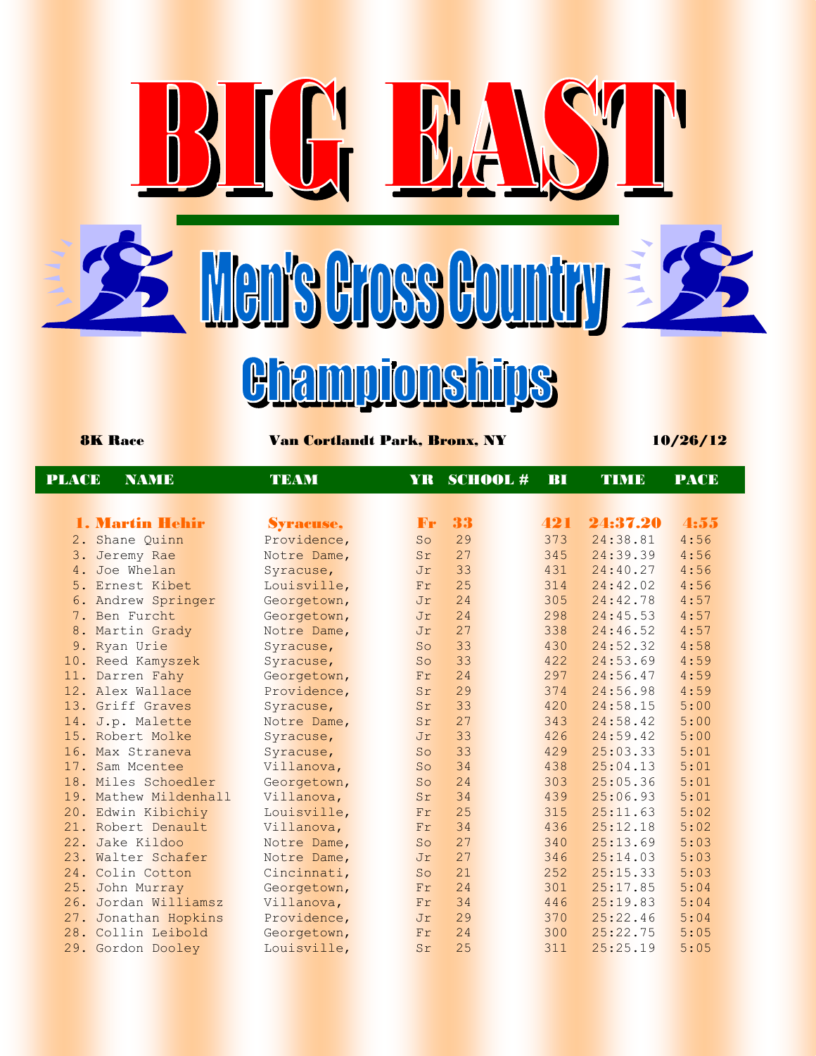8K Race Van Cortlandt Park, Bronx, NY 10/26/12

<u>Giampionships</u>

Men's Gross Country

KH BA

| <b>PLACE</b> | <b>NAME</b>            | <b>TEAM</b> | YR.             | <b>SCHOOL#</b> | BI  | TIMB     | <b>PACE</b> |
|--------------|------------------------|-------------|-----------------|----------------|-----|----------|-------------|
|              |                        |             |                 |                |     |          |             |
|              | <b>1. Martin Hehir</b> | Syracuse,   | $\mathbf{F}$    | 33             | 421 | 24:37.20 | 4:55        |
|              | 2. Shane Quinn         | Providence, | So              | 29             | 373 | 24:38.81 | 4:56        |
|              | 3. Jeremy Rae          | Notre Dame, | Sr              | 27             | 345 | 24:39.39 | 4:56        |
| 4.           | Joe Whelan             | Syracuse,   | Jr              | 33             | 431 | 24:40.27 | 4:56        |
|              | 5. Ernest Kibet        | Louisville, | Fr              | 25             | 314 | 24:42.02 | 4:56        |
|              | 6. Andrew Springer     | Georgetown, | Jr              | 24             | 305 | 24:42.78 | 4:57        |
|              | 7. Ben Furcht          | Georgetown, | Jr              | 24             | 298 | 24:45.53 | 4:57        |
|              | 8. Martin Grady        | Notre Dame, | Jr              | 27             | 338 | 24:46.52 | 4:57        |
|              | 9. Ryan Urie           | Syracuse,   | So              | 33             | 430 | 24:52.32 | 4:58        |
|              | 10. Reed Kamyszek      | Syracuse,   | So              | 33             | 422 | 24:53.69 | 4:59        |
|              | 11. Darren Fahy        | Georgetown, | Fr              | 24             | 297 | 24:56.47 | 4:59        |
|              | 12. Alex Wallace       | Providence, | Sr              | 29             | 374 | 24:56.98 | 4:59        |
|              | 13. Griff Graves       | Syracuse,   | Sr              | 33             | 420 | 24:58.15 | 5:00        |
|              | 14. J.p. Malette       | Notre Dame, | Sr              | 27             | 343 | 24:58.42 | 5:00        |
|              | 15. Robert Molke       | Syracuse,   | Jr              | 33             | 426 | 24:59.42 | 5:00        |
|              | 16. Max Straneva       | Syracuse,   | SO <sub>2</sub> | 33             | 429 | 25:03.33 | 5:01        |
|              | 17. Sam Mcentee        | Villanova,  | So              | 34             | 438 | 25:04.13 | 5:01        |
|              | 18. Miles Schoedler    | Georgetown, | So              | 24             | 303 | 25:05.36 | 5:01        |
|              | 19. Mathew Mildenhall  | Villanova,  | Sr              | 34             | 439 | 25:06.93 | 5:01        |
|              | 20. Edwin Kibichiy     | Louisville, | Fr              | 25             | 315 | 25:11.63 | 5:02        |
|              | 21. Robert Denault     | Villanova,  | Fr              | 34             | 436 | 25:12.18 | 5:02        |
| 22.          | Jake Kildoo            | Notre Dame, | So              | 27             | 340 | 25:13.69 | 5:03        |
|              | 23. Walter Schafer     | Notre Dame, | Jr              | 27             | 346 | 25:14.03 | 5:03        |
|              | 24. Colin Cotton       | Cincinnati, | So              | 21             | 252 | 25:15.33 | 5:03        |
|              | 25. John Murray        | Georgetown, | Fr              | 24             | 301 | 25:17.85 | 5:04        |
|              | 26. Jordan Williamsz   | Villanova,  | Fr              | 34             | 446 | 25:19.83 | 5:04        |
|              | 27. Jonathan Hopkins   | Providence, | Jr              | 29             | 370 | 25:22.46 | 5:04        |
|              | 28. Collin Leibold     | Georgetown, | Fr              | 24             | 300 | 25:22.75 | 5:05        |
|              | 29. Gordon Dooley      | Louisville, | Sr              | 25             | 311 | 25:25.19 | 5:05        |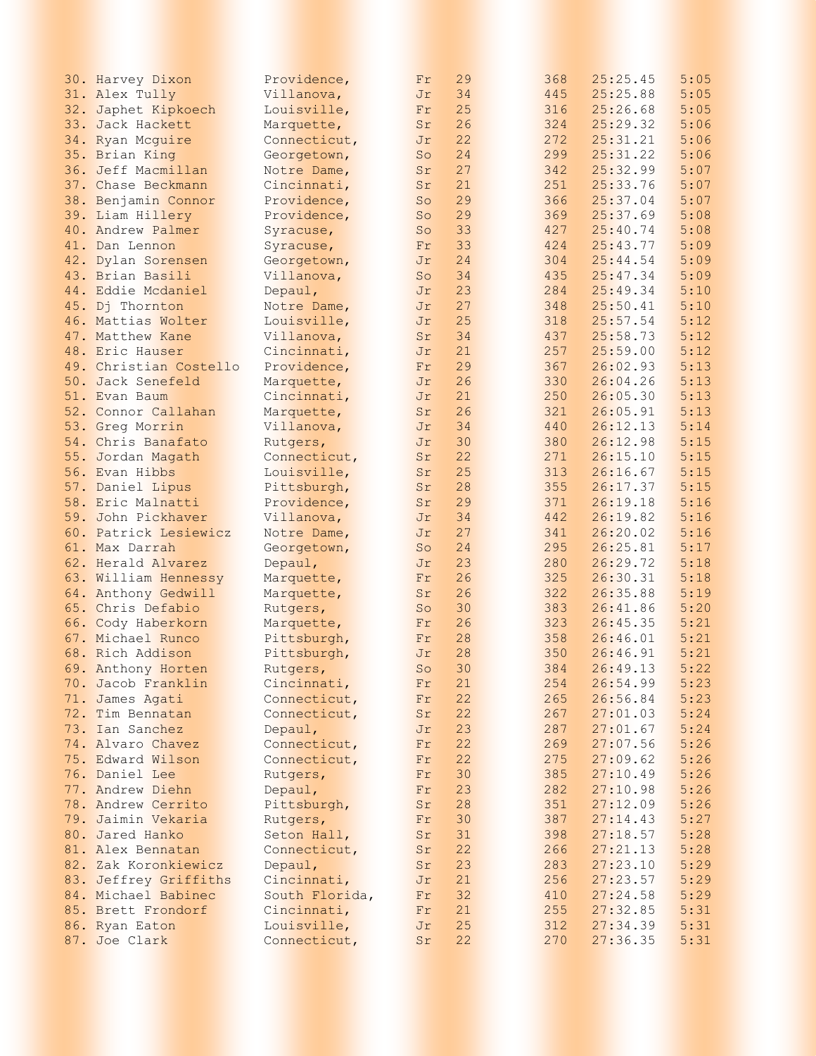| 30. Harvey Dixon       | Providence,    | Fr | 29 | 368 | 25:25.45 | 5:05 |
|------------------------|----------------|----|----|-----|----------|------|
| 31. Alex Tully         | Villanova,     | Jr | 34 | 445 | 25:25.88 | 5:05 |
| 32. Japhet Kipkoech    | Louisville,    | Fr | 25 | 316 | 25:26.68 | 5:05 |
| 33. Jack Hackett       | Marquette,     | Sr | 26 | 324 | 25:29.32 | 5:06 |
| 34. Ryan Mcguire       | Connecticut,   | Jr | 22 | 272 | 25:31.21 | 5:06 |
|                        |                |    | 24 | 299 | 25:31.22 | 5:06 |
| 35. Brian King         | Georgetown,    | So |    |     |          |      |
| 36. Jeff Macmillan     | Notre Dame,    | Sr | 27 | 342 | 25:32.99 | 5:07 |
| 37. Chase Beckmann     | Cincinnati,    | Sr | 21 | 251 | 25:33.76 | 5:07 |
| 38. Benjamin Connor    | Providence,    | So | 29 | 366 | 25:37.04 | 5:07 |
| 39. Liam Hillery       | Providence,    | So | 29 | 369 | 25:37.69 | 5:08 |
| 40. Andrew Palmer      | Syracuse,      | So | 33 | 427 | 25:40.74 | 5:08 |
| 41. Dan Lennon         | Syracuse,      | Fr | 33 | 424 | 25:43.77 | 5:09 |
| 42. Dylan Sorensen     | Georgetown,    | Jr | 24 | 304 | 25:44.54 | 5:09 |
| 43. Brian Basili       | Villanova,     | So | 34 | 435 | 25:47.34 | 5:09 |
| 44. Eddie Mcdaniel     | Depaul,        | Jr | 23 | 284 | 25:49.34 | 5:10 |
| 45. Dj Thornton        | Notre Dame,    | Jr | 27 | 348 | 25:50.41 | 5:10 |
| 46. Mattias Wolter     | Louisville,    | Jr | 25 | 318 | 25:57.54 | 5:12 |
| 47. Matthew Kane       | Villanova,     | Sr | 34 | 437 | 25:58.73 | 5:12 |
| 48. Eric Hauser        | Cincinnati,    | Jr | 21 | 257 | 25:59.00 | 5:12 |
| 49. Christian Costello | Providence,    | Fr | 29 | 367 | 26:02.93 | 5:13 |
|                        |                |    |    |     |          |      |
| 50. Jack Senefeld      | Marquette,     | Jr | 26 | 330 | 26:04.26 | 5:13 |
| 51. Evan Baum          | Cincinnati,    | Jr | 21 | 250 | 26:05.30 | 5:13 |
| 52. Connor Callahan    | Marquette,     | Sr | 26 | 321 | 26:05.91 | 5:13 |
| 53. Greg Morrin        | Villanova,     | Jr | 34 | 440 | 26:12.13 | 5:14 |
| 54. Chris Banafato     | Rutgers,       | Jr | 30 | 380 | 26:12.98 | 5:15 |
| 55. Jordan Magath      | Connecticut,   | Sr | 22 | 271 | 26:15.10 | 5:15 |
| 56. Evan Hibbs         | Louisville,    | Sr | 25 | 313 | 26:16.67 | 5:15 |
| 57. Daniel Lipus       | Pittsburgh,    | Sr | 28 | 355 | 26:17.37 | 5:15 |
| 58. Eric Malnatti      | Providence,    | Sr | 29 | 371 | 26:19.18 | 5:16 |
| 59. John Pickhaver     | Villanova,     | Jr | 34 | 442 | 26:19.82 | 5:16 |
| 60. Patrick Lesiewicz  | Notre Dame,    | Jr | 27 | 341 | 26:20.02 | 5:16 |
| 61. Max Darrah         | Georgetown,    | So | 24 | 295 | 26:25.81 | 5:17 |
| 62. Herald Alvarez     | Depaul,        | Jr | 23 | 280 | 26:29.72 | 5:18 |
| 63. William Hennessy   | Marquette,     | Fr | 26 | 325 | 26:30.31 | 5:18 |
| 64. Anthony Gedwill    | Marquette,     | Sr | 26 | 322 | 26:35.88 | 5:19 |
| 65. Chris Defabio      | Rutgers,       | So | 30 | 383 | 26:41.86 | 5:20 |
| 66. Cody Haberkorn     |                | Fr | 26 | 323 | 26:45.35 | 5:21 |
|                        | Marquette,     |    |    |     |          |      |
| 67. Michael Runco      | Pittsburgh,    | Fr | 28 | 358 | 26:46.01 | 5:21 |
| 68. Rich Addison       | Pittsburgh,    | Jr | 28 | 350 | 26:46.91 | 5:21 |
| 69. Anthony Horten     | Rutgers,       | So | 30 | 384 | 26:49.13 | 5:22 |
| 70. Jacob Franklin     | Cincinnati,    | Fr | 21 | 254 | 26:54.99 | 5:23 |
| 71. James Agati        | Connecticut,   | Fr | 22 | 265 | 26:56.84 | 5:23 |
| 72. Tim Bennatan       | Connecticut,   | Sr | 22 | 267 | 27:01.03 | 5:24 |
| 73. Ian Sanchez        | Depaul,        | Jr | 23 | 287 | 27:01.67 | 5:24 |
| 74. Alvaro Chavez      | Connecticut,   | Fr | 22 | 269 | 27:07.56 | 5:26 |
| 75. Edward Wilson      | Connecticut,   | Fr | 22 | 275 | 27:09.62 | 5:26 |
| 76. Daniel Lee         | Rutgers,       | Fr | 30 | 385 | 27:10.49 | 5:26 |
| 77. Andrew Diehn       | Depaul,        | Fr | 23 | 282 | 27:10.98 | 5:26 |
| 78. Andrew Cerrito     | Pittsburgh,    | Sr | 28 | 351 | 27:12.09 | 5:26 |
| 79. Jaimin Vekaria     | Rutgers,       | Fr | 30 | 387 | 27:14.43 | 5:27 |
| 80. Jared Hanko        | Seton Hall,    | Sr | 31 | 398 | 27:18.57 | 5:28 |
| 81. Alex Bennatan      | Connecticut,   | Sr | 22 | 266 | 27:21.13 | 5:28 |
| 82. Zak Koronkiewicz   | Depaul,        | Sr | 23 | 283 | 27:23.10 | 5:29 |
| 83. Jeffrey Griffiths  | Cincinnati,    | Jr | 21 | 256 | 27:23.57 | 5:29 |
|                        |                |    |    |     |          |      |
| 84. Michael Babinec    | South Florida, | Fr | 32 | 410 | 27:24.58 | 5:29 |
| 85. Brett Frondorf     | Cincinnati,    | Fr | 21 | 255 | 27:32.85 | 5:31 |
| 86. Ryan Eaton         | Louisville,    | Jr | 25 | 312 | 27:34.39 | 5:31 |
| 87. Joe Clark          | Connecticut,   | Sr | 22 | 270 | 27:36.35 | 5:31 |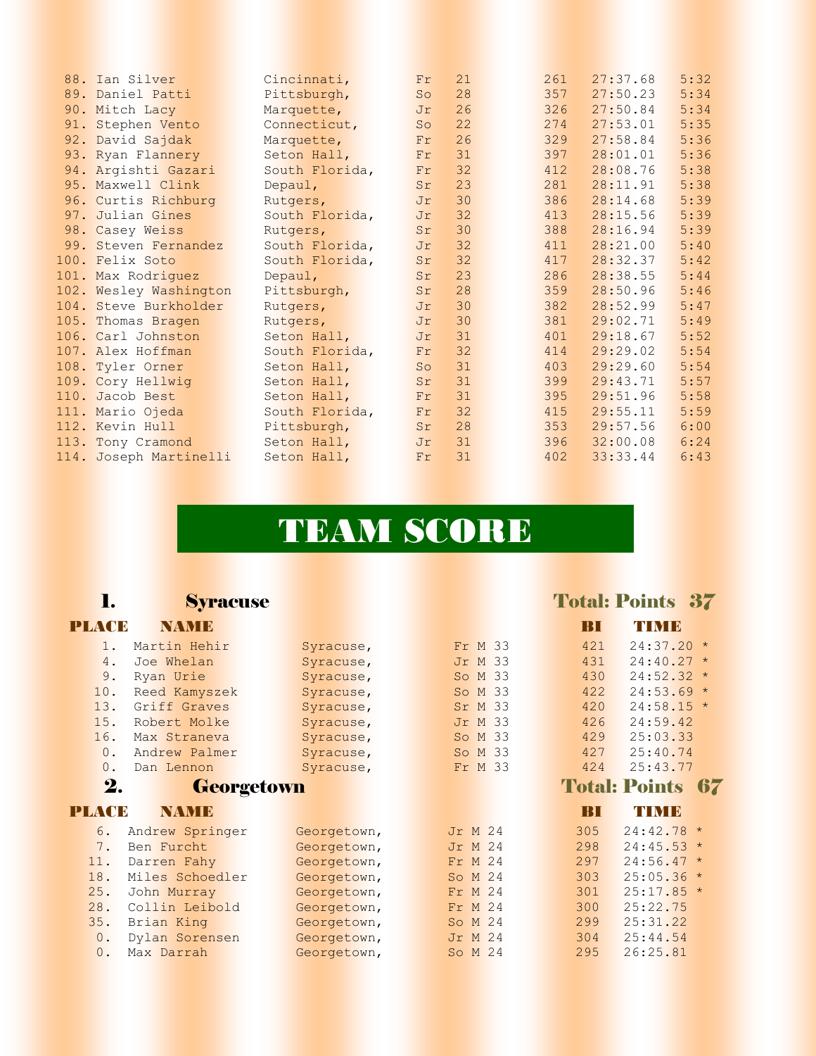| 88. Ian Silver         | Cincinnati,    | Fr | 21 | 261 | 27:37.68 | 5:32 |
|------------------------|----------------|----|----|-----|----------|------|
| 89. Daniel Patti       | Pittsburgh,    | So | 28 | 357 | 27:50.23 | 5:34 |
| 90. Mitch Lacy         | Marquette,     | Jr | 26 | 326 | 27:50.84 | 5:34 |
| 91. Stephen Vento      | Connecticut,   | So | 22 | 274 | 27:53.01 | 5:35 |
| 92. David Sajdak       | Marquette,     | Fr | 26 | 329 | 27:58.84 | 5:36 |
| 93. Ryan Flannery      | Seton Hall,    | Fr | 31 | 397 | 28:01.01 | 5:36 |
| 94. Argishti Gazari    | South Florida, | Fr | 32 | 412 | 28:08.76 | 5:38 |
| 95. Maxwell Clink      | Depaul,        | Sr | 23 | 281 | 28:11.91 | 5:38 |
| 96. Curtis Richburg    | Rutgers,       | Jr | 30 | 386 | 28:14.68 | 5:39 |
| 97. Julian Gines       | South Florida, | Jr | 32 | 413 | 28:15.56 | 5:39 |
| 98. Casey Weiss        | Rutgers,       | Sr | 30 | 388 | 28:16.94 | 5:39 |
| 99. Steven Fernandez   | South Florida, | Jr | 32 | 411 | 28:21.00 | 5:40 |
| 100. Felix Soto        | South Florida, | Sr | 32 | 417 | 28:32.37 | 5:42 |
| 101. Max Rodriguez     | Depaul,        | Sr | 23 | 286 | 28:38.55 | 5:44 |
| 102. Wesley Washington | Pittsburgh,    | Sr | 28 | 359 | 28:50.96 | 5:46 |
| 104. Steve Burkholder  | Rutgers,       | Jr | 30 | 382 | 28:52.99 | 5:47 |
| 105. Thomas Bragen     | Rutgers,       | Jr | 30 | 381 | 29:02.71 | 5:49 |
| 106. Carl Johnston     | Seton Hall,    | Jr | 31 | 401 | 29:18.67 | 5:52 |
| 107. Alex Hoffman      | South Florida, | Fr | 32 | 414 | 29:29.02 | 5:54 |
| 108. Tyler Orner       | Seton Hall,    | So | 31 | 403 | 29:29.60 | 5:54 |
| 109. Cory Hellwig      | Seton Hall,    | Sr | 31 | 399 | 29:43.71 | 5:57 |
| 110. Jacob Best        | Seton Hall,    | Fr | 31 | 395 | 29:51.96 | 5:58 |
| 111. Mario Ojeda       | South Florida, | Fr | 32 | 415 | 29:55.11 | 5:59 |
| 112. Kevin Hull        | Pittsburgh,    | Sr | 28 | 353 | 29:57.56 | 6:00 |
| 113. Tony Cramond      | Seton Hall,    | Jr | 31 | 396 | 32:00.08 | 6:24 |
| 114. Joseph Martinelli | Seton Hall,    | Fr | 31 | 402 | 33:33.44 | 6:43 |
|                        |                |    |    |     |          |      |

# TEAM SCORE

## 1. Syracuse Total: Points 37

### PLACE NAME BI TIME

| 1.           | Martin Hehir    | Syracuse,   | Fr M 33    | 421 | $24:37.20*$          |         |
|--------------|-----------------|-------------|------------|-----|----------------------|---------|
| 4.           | Joe Whelan      | Syracuse,   | Jr M 33    | 431 | $24:40.27$ *         |         |
| 9.           | Ryan Urie       | Syracuse,   | So M 33    | 430 | $24:52.32 *$         |         |
| 10.          | Reed Kamyszek   | Syracuse,   | So M 33    | 422 | $24:53.69*$          |         |
| 13.          | Griff Graves    | Syracuse,   | Sr M 33    | 420 | $24:58.15 *$         |         |
| 15.          | Robert Molke    | Syracuse,   | Jr M 33    | 426 | 24:59.42             |         |
| 16.          | Max Straneva    | Syracuse,   | So M 33    | 429 | 25:03.33             |         |
| $0$ .        | Andrew Palmer   | Syracuse,   | So M 33    | 427 | 25:40.74             |         |
| 0.           | Dan Lennon      | Syracuse,   | Fr M 33    | 424 | 25:43.77             |         |
| 2.           | Georgetown      |             |            |     | <b>Total: Points</b> | 67      |
| <b>PLACE</b> | NAMIE           |             |            | BI  | TIMB                 |         |
| 6.           | Andrew Springer | Georgetown, | Jr M 24    | 305 | 24:42.78             | $\star$ |
| 7.           | Ben Furcht      | Georgetown, | Jr M 24    | 298 | $24:45.53*$          |         |
| 11.          | Darren Fahy     | Georgetown, | Fr M 24    | 297 | $24:56.47*$          |         |
| 18.          | Miles Schoedler | Georgetown, | So M 24    | 303 | $25:05.36*$          |         |
| 25.          | John Murray     | Georgetown, | Fr M 24    | 301 | $25:17.85$ *         |         |
| 28.          |                 |             |            |     |                      |         |
|              | Collin Leibold  | Georgetown, | M 24<br>Fr | 300 | 25:22.75             |         |
| 35.          | Brian King      | Georgetown, | So M 24    | 299 | 25:31.22             |         |
| 0.           | Dylan Sorensen  | Georgetown, | M 24<br>Jr | 304 | 25:44.54             |         |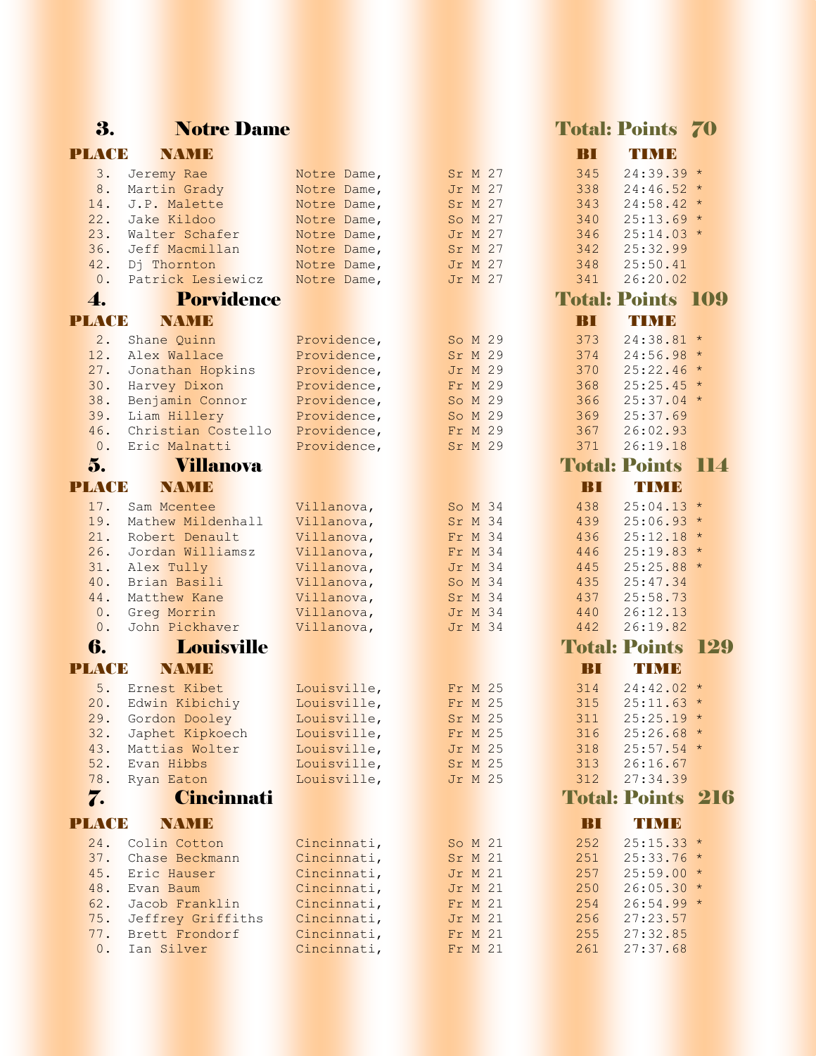## 3. Notre Dame Total: Points 70

### PLACE NAME BI TIME

| 3.           | Jeremy Rae                     | Notre Dame,                | Sr M 27                   | 345          | $24:39.39$ *               |            |
|--------------|--------------------------------|----------------------------|---------------------------|--------------|----------------------------|------------|
| 8.           | Martin Grady                   | Notre Dame,                | Jr M 27                   | 338          | $24:46.52*$                |            |
| 14.          | J.P. Malette                   | Notre Dame,                | Sr M 27                   | 343          | $24:58.42*$                |            |
| 22.          | Jake Kildoo                    | Notre Dame,                | So M 27                   | 340          | $25:13.69*$                |            |
| 23.          | Walter Schafer                 | Notre Dame,                | Jr M 27                   | 346          | $25:14.03*$                |            |
| 36.          | Jeff Macmillan                 | Notre Dame,                | Sr M 27                   | 342          | 25:32.99                   |            |
| 42.          | Dj Thornton                    | Notre Dame,                | Jr M 27                   | 348          | 25:50.41                   |            |
| 0.           | Patrick Lesiewicz              | Notre Dame,                | Jr M 27                   | 341          | 26:20.02                   |            |
| 4.           | <b>Porvidence</b>              |                            |                           |              | <b>Total: Points 109</b>   |            |
| <b>PLACE</b> | <b>NAMIE</b>                   |                            |                           | BП           | TIMB                       |            |
| 2.           | Shane Quinn                    | Providence,                | So M 29                   | 373          | $24:38.81*$                |            |
| 12.          | Alex Wallace                   | Providence,                | Sr M 29                   | 374          | $24:56.98*$                |            |
| 27.          | Jonathan Hopkins               | Providence,                | <b>Jr M 29</b>            | 370          | $25:22.46*$                |            |
| 30.          | Harvey Dixon                   | Providence,                | Fr M 29                   | 368          | $25:25.45$ *               |            |
| 38.          | Benjamin Connor                | Providence,                | So M 29                   | 366          | $25:37.04$ *               |            |
| 39.          | Liam Hillery                   | Providence,                | So M 29                   | 369          | 25:37.69                   |            |
| 46.          | Christian Costello             | Providence,                | Fr M 29                   | 367          | 26:02.93                   |            |
| 0.           | Eric Malnatti                  | Providence,                | Sr M 29                   | 371          | 26:19.18                   |            |
|              |                                |                            |                           |              |                            |            |
| 5.           | <b>Villanova</b>               |                            |                           |              | <b>Total: Points</b>       | <b>114</b> |
| <b>PLACE</b> | <b>NAME</b>                    |                            |                           | BI           | TIMB                       |            |
| 17.          | Sam Mcentee                    | Villanova,                 | So M 34                   | 438          | $25:04.13*$                |            |
| 19.          | Mathew Mildenhall              | Villanova,                 | Sr M 34                   | 439          | $25:06.93*$                |            |
| 21.          | Robert Denault                 | Villanova,                 | Fr M 34                   | 436          | $25:12.18$ *               |            |
| 26.          | Jordan Williamsz               | Villanova,                 | Fr M 34                   | 446          | $25:19.83*$                |            |
| 31.          | Alex Tully                     | Villanova,                 | <b>Jr M 34</b>            | 445          | $25:25.88$ *               |            |
| 40.          | Brian Basili                   | Villanova,                 | So M 34                   | 435          | 25:47.34                   |            |
| 44.          | Matthew Kane                   | Villanova,                 | Sr M 34                   | 437          | 25:58.73                   |            |
| $0$ .        | Greg Morrin                    | Villanova,                 | <b>Jr M 34</b>            | 440          | 26:12.13                   |            |
| 0.           | John Pickhaver                 | Villanova,                 | Jr M 34                   | 442          | 26:19.82                   |            |
| 6.           | <b>Louisville</b>              |                            |                           |              | <b>Total: Points</b>       | 129        |
| <b>PLACE</b> | <b>NAMB</b>                    |                            |                           | BI           | TIMB                       |            |
| 5.           | Ernest Kibet                   | Louisville,                | Fr M 25                   | 314          | $24:42.02*$                |            |
| 20.          | Edwin Kibichiy                 | Louisville,                | Fr M 25                   | 315          | $25:11.63*$                |            |
| 29.          | Gordon Dooley                  | Louisville,                | Sr M 25                   | 311          | $25:25.19*$                |            |
| 32.          | Japhet Kipkoech                | Louisville,                | Fr M 25                   | 316          | $25:26.68$ *               |            |
| 43.          | Mattias Wolter                 | Louisville,                | <b>Jr M 25</b>            | 318          | $25:57.54$ *               |            |
| 52.          | Evan Hibbs                     | Louisville,                | Sr M 25                   | 313          | 26:16.67                   |            |
| 78.          | Ryan Eaton                     | Louisville,                | <b>Jr M 25</b>            | 312          | 27:34.39                   |            |
| 7.           | <b>Cincinnati</b>              |                            |                           |              | <b>Total: Points 216</b>   |            |
| <b>PLACE</b> | <b>NAME</b>                    |                            |                           | $\mathbf{B}$ | TIMB                       |            |
|              |                                |                            |                           |              |                            |            |
| 24.<br>37.   | Colin Cotton<br>Chase Beckmann | Cincinnati,                | So M 21<br>Sr M 21        | 252<br>251   | $25:15.33*$<br>$25:33.76*$ |            |
|              | Eric Hauser                    | Cincinnati,                |                           |              |                            |            |
| 45.<br>48.   | Evan Baum                      | Cincinnati,<br>Cincinnati, | <b>Jr M 21</b><br>Jr M 21 | 257<br>250   | $25:59.00*$<br>$26:05.30*$ |            |
| 62.          | Jacob Franklin                 | Cincinnati,                | Fr M 21                   | 254          | $26:54.99 *$               |            |
| 75.          | Jeffrey Griffiths              | Cincinnati,                | Jr M 21                   | 256          | 27:23.57                   |            |
| 77.          | Brett Frondorf                 | Cincinnati,                | Fr M 21                   | 255          | 27:32.85                   |            |
| 0.           | Ian Silver                     | Cincinnati,                | Fr M 21                   | 261          | 27:37.68                   |            |
|              |                                |                            |                           |              |                            |            |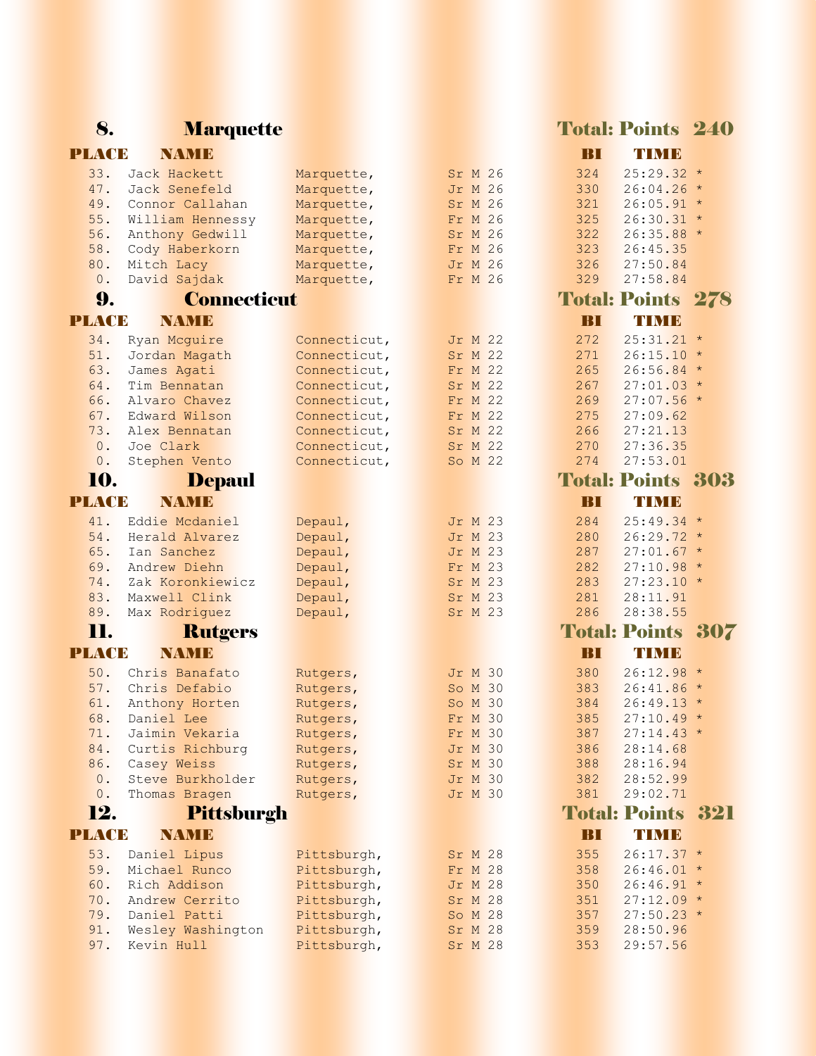## 8. Marquette Marquette Total: Points 240

### PLACE NAME BI TIME

| 33.          | Jack Hackett       | Marquette,                 | Sr M 26            | 324          | $25:29.32$ *             |     |
|--------------|--------------------|----------------------------|--------------------|--------------|--------------------------|-----|
| 47.          | Jack Senefeld      | Marquette,                 | <b>Jr M 26</b>     | 330          | $26:04.26$ *             |     |
| 49.          | Connor Callahan    | Marquette,                 | Sr M 26            | 321          | $26:05.91$ *             |     |
| 55.          | William Hennessy   | Marquette,                 | Fr M 26            | 325          | $26:30.31$ *             |     |
| 56.          | Anthony Gedwill    | Marquette,                 | Sr M 26            | 322          | $26:35.88*$              |     |
| 58.          | Cody Haberkorn     | Marquette,                 | Fr M 26            | 323          | 26:45.35                 |     |
| 80.          | Mitch Lacy         |                            | Jr M 26            | 326          | 27:50.84                 |     |
| 0.           | David Sajdak       | Marquette,                 | Fr M 26            | 329          | 27:58.84                 |     |
|              |                    | Marquette,                 |                    |              |                          |     |
| 9.           | <b>Connecticut</b> |                            |                    |              | <b>Total: Points 278</b> |     |
| <b>PLACE</b> | <b>NAMIE</b>       |                            |                    | BП           | TIMB                     |     |
| 34.          | Ryan Mcguire       | Connecticut,               | Jr M 22            | 272          | $25:31.21$ *             |     |
| 51.          | Jordan Magath      | Connecticut,               | Sr M 22            | 271          | $26:15.10*$              |     |
| 63.          | James Agati        | Connecticut,               | Fr M 22            | 265          | $26:56.84$ *             |     |
| 64.          | Tim Bennatan       | Connecticut,               | Sr M 22            | 267          | $27:01.03*$              |     |
| 66.          | Alvaro Chavez      | Connecticut,               | Fr M 22            | 269          | $27:07.56$ *             |     |
| 67.          | Edward Wilson      | Connecticut,               | Fr M 22            | 275          | 27:09.62                 |     |
| 73.          | Alex Bennatan      | Connecticut,               | Sr M 22            | 266          | 27:21.13                 |     |
| 0.           | Joe Clark          | Connecticut,               | Sr M 22            | 270          | 27:36.35                 |     |
| 0.           | Stephen Vento      | Connecticut,               | So M 22            | 274          | 27:53.01                 |     |
| 10.          | <b>Depaul</b>      |                            |                    |              | <b>Total: Points 303</b> |     |
| <b>PLACE</b> | <b>NAME</b>        |                            |                    | BП           | <b>TIMB</b>              |     |
|              |                    |                            |                    |              |                          |     |
| 41.          | Eddie Mcdaniel     | Depaul,                    | Jr M 23            | 284          | $25:49.34$ *             |     |
| 54.          | Herald Alvarez     | Depaul,                    | <b>Jr M 23</b>     | 280          | $26:29.72*$              |     |
| 65.          | Ian Sanchez        | Depaul,                    | Jr M 23            | 287          | $27:01.67$ *             |     |
| 69.          | Andrew Diehn       | Depaul,                    | Fr M 23            | 282          | $27:10.98 *$             |     |
| 74.          | Zak Koronkiewicz   | Depaul,                    | Sr M 23            | 283          | $27:23.10 *$             |     |
| 83.          | Maxwell Clink      | Depaul,                    | Sr M 23            | 281          | 28:11.91                 |     |
| 89.          | Max Rodriguez      | Depaul,                    | Sr M 23            | 286          | 28:38.55                 |     |
| 11.          | <b>Rutgers</b>     |                            |                    |              | <b>Total: Points</b>     | 307 |
| PLACE        | <b>NAMB</b>        |                            |                    | $\mathbf{B}$ | TIMB                     |     |
| 50.          | Chris Banafato     | Rutgers,                   | <b>Jr M 30</b>     | 380          | $26:12.98*$              |     |
| 57.          | Chris Defabio      | Rutgers,                   | So M 30            | 383          | $26:41.86*$              |     |
| 61.          | Anthony Horten     | Rutgers,                   | So M 30            | 384          | $26:49.13*$              |     |
| 68.          | Daniel Lee         | Rutgers,                   | Fr M 30            | 385          | $27:10.49*$              |     |
| 71.          | Jaimin Vekaria     | Rutgers,                   | Fr M 30            | 387          | $27:14.43*$              |     |
| 84.          | Curtis Richburg    | Rutgers,                   | <b>Jr M 30</b>     | 386          | 28:14.68                 |     |
| 86.          | Casey Weiss        | Rutgers,                   | Sr M 30            | 388          | 28:16.94                 |     |
| $0$ .        | Steve Burkholder   | Rutgers,                   | <b>Jr M 30</b>     | 382          | 28:52.99                 |     |
| 0.           | Thomas Bragen      | Rutgers,                   | Jr M 30            | 381          | 29:02.71                 |     |
| 12.          | <b>Pittsburgh</b>  |                            |                    |              | <b>Total: Points 321</b> |     |
| <b>PLACE</b> | <b>NAME</b>        |                            |                    | BI           | TIMB                     |     |
| 53.          | Daniel Lipus       |                            |                    | 355          | $26:17.37$ *             |     |
| 59.          | Michael Runco      | Pittsburgh,<br>Pittsburgh, | Sr M 28<br>Fr M 28 | 358          | $26:46.01$ *             |     |
| 60.          | Rich Addison       |                            | <b>Jr M 28</b>     | 350          | $26:46.91*$              |     |
| 70.          | Andrew Cerrito     | Pittsburgh,                |                    |              | $27:12.09*$              |     |
| 79.          | Daniel Patti       | Pittsburgh,<br>Pittsburgh, | Sr M 28<br>So M 28 | 351<br>357   | $27:50.23$ *             |     |
| 91.          | Wesley Washington  | Pittsburgh,                | Sr M 28            | 359          | 28:50.96                 |     |
| 97.          | Kevin Hull         | Pittsburgh,                |                    | 353          | 29:57.56                 |     |
|              |                    |                            | Sr M 28            |              |                          |     |